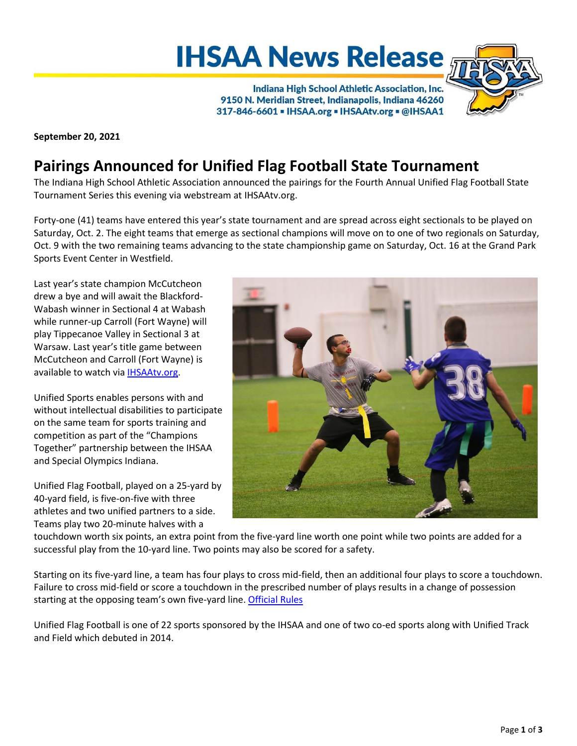# **IHSAA News Release**

Indiana High School Athletic Association, Inc. 9150 N. Meridian Street, Indianapolis, Indiana 46260 317-846-6601 - IHSAA.org - IHSAAtv.org - @IHSAA1

**September 20, 2021**

# **Pairings Announced for Unified Flag Football State Tournament**

The Indiana High School Athletic Association announced the pairings for the Fourth Annual Unified Flag Football State Tournament Series this evening via webstream at IHSAAtv.org.

Forty-one (41) teams have entered this year's state tournament and are spread across eight sectionals to be played on Saturday, Oct. 2. The eight teams that emerge as sectional champions will move on to one of two regionals on Saturday, Oct. 9 with the two remaining teams advancing to the state championship game on Saturday, Oct. 16 at the Grand Park Sports Event Center in Westfield.

Last year's state champion McCutcheon drew a bye and will await the Blackford-Wabash winner in Sectional 4 at Wabash while runner-up Carroll (Fort Wayne) will play Tippecanoe Valley in Sectional 3 at Warsaw. Last year's title game between McCutcheon and Carroll (Fort Wayne) is available to watch via [IHSAAtv.org.](https://www.ihsaatv.org/?B=200764)

Unified Sports enables persons with and without intellectual disabilities to participate on the same team for sports training and competition as part of the "Champions Together" partnership between the IHSAA and Special Olympics Indiana.

Unified Flag Football, played on a 25-yard by 40-yard field, is five-on-five with three athletes and two unified partners to a side. Teams play two 20-minute halves with a



touchdown worth six points, an extra point from the five-yard line worth one point while two points are added for a successful play from the 10-yard line. Two points may also be scored for a safety.

Starting on its five-yard line, a team has four plays to cross mid-field, then an additional four plays to score a touchdown. Failure to cross mid-field or score a touchdown in the prescribed number of plays results in a change of possession starting at the opposing team's own five-yard line[. Official Rules](https://myihsaa-prod-ams.azurewebsites.net/api/resource-library/categories/47e119a6-9970-4a73-ba17-08d612e6af14/documents/e26b841d-9abf-4dcb-be2f-08d82cb8e69b/file)

Unified Flag Football is one of 22 sports sponsored by the IHSAA and one of two co-ed sports along with Unified Track and Field which debuted in 2014.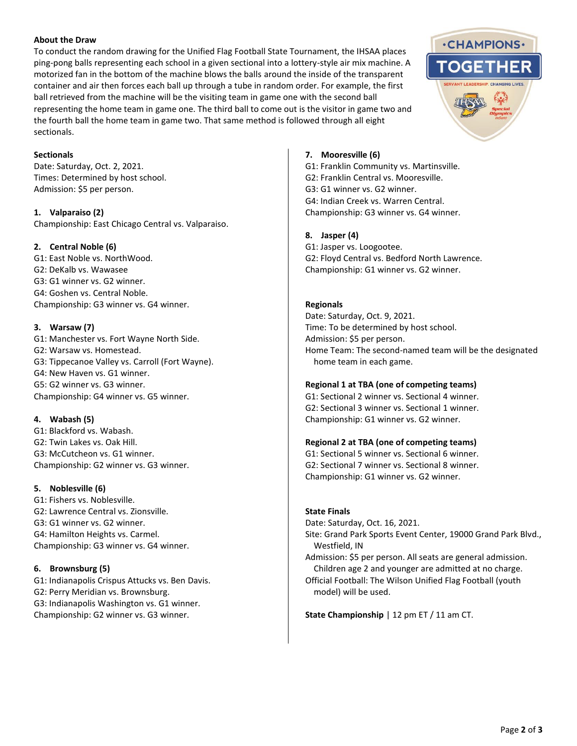#### **About the Draw**

To conduct the random drawing for the Unified Flag Football State Tournament, the IHSAA places ping-pong balls representing each school in a given sectional into a lottery-style air mix machine. A motorized fan in the bottom of the machine blows the balls around the inside of the transparent container and air then forces each ball up through a tube in random order. For example, the first ball retrieved from the machine will be the visiting team in game one with the second ball representing the home team in game one. The third ball to come out is the visitor in game two and the fourth ball the home team in game two. That same method is followed through all eight sectionals.

#### **Sectionals**

Date: Saturday, Oct. 2, 2021. Times: Determined by host school. Admission: \$5 per person.

**1. Valparaiso (2)** Championship: East Chicago Central vs. Valparaiso.

# **2. Central Noble (6)**

G1: East Noble vs. NorthWood. G2: DeKalb vs. Wawasee G3: G1 winner vs. G2 winner. G4: Goshen vs. Central Noble. Championship: G3 winner vs. G4 winner.

# **3. Warsaw (7)**

G1: Manchester vs. Fort Wayne North Side. G2: Warsaw vs. Homestead. G3: Tippecanoe Valley vs. Carroll (Fort Wayne). G4: New Haven vs. G1 winner. G5: G2 winner vs. G3 winner. Championship: G4 winner vs. G5 winner.

# **4. Wabash (5)**

G1: Blackford vs. Wabash. G2: Twin Lakes vs. Oak Hill. G3: McCutcheon vs. G1 winner. Championship: G2 winner vs. G3 winner.

# **5. Noblesville (6)**

G1: Fishers vs. Noblesville. G2: Lawrence Central vs. Zionsville. G3: G1 winner vs. G2 winner. G4: Hamilton Heights vs. Carmel. Championship: G3 winner vs. G4 winner.

# **6. Brownsburg (5)**

G1: Indianapolis Crispus Attucks vs. Ben Davis. G2: Perry Meridian vs. Brownsburg. G3: Indianapolis Washington vs. G1 winner. Championship: G2 winner vs. G3 winner.

#### **7. Mooresville (6)**

G1: Franklin Community vs. Martinsville. G2: Franklin Central vs. Mooresville. G3: G1 winner vs. G2 winner. G4: Indian Creek vs. Warren Central. Championship: G3 winner vs. G4 winner.

# **8. Jasper (4)**

G1: Jasper vs. Loogootee. G2: Floyd Central vs. Bedford North Lawrence. Championship: G1 winner vs. G2 winner.

#### **Regionals**

Date: Saturday, Oct. 9, 2021. Time: To be determined by host school. Admission: \$5 per person. Home Team: The second-named team will be the designated home team in each game.

# **Regional 1 at TBA (one of competing teams)**

G1: Sectional 2 winner vs. Sectional 4 winner. G2: Sectional 3 winner vs. Sectional 1 winner. Championship: G1 winner vs. G2 winner.

# **Regional 2 at TBA (one of competing teams)**

G1: Sectional 5 winner vs. Sectional 6 winner. G2: Sectional 7 winner vs. Sectional 8 winner. Championship: G1 winner vs. G2 winner.

#### **State Finals**

Date: Saturday, Oct. 16, 2021.

Site: Grand Park Sports Event Center, 19000 Grand Park Blvd., Westfield, IN

Admission: \$5 per person. All seats are general admission. Children age 2 and younger are admitted at no charge.

Official Football: The Wilson Unified Flag Football (youth model) will be used.

**State Championship** | 12 pm ET / 11 am CT.